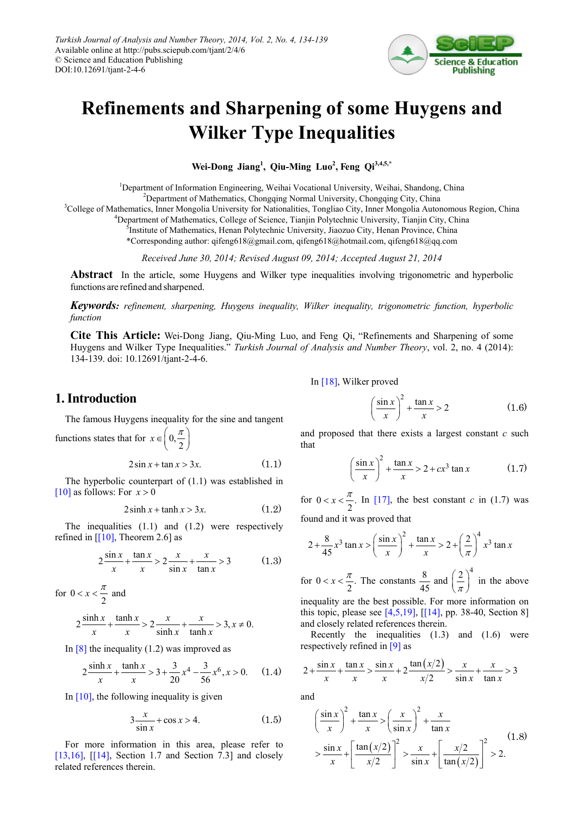

# **Refinements and Sharpening of some Huygens and Wilker Type Inequalities**

**Wei-Dong Jiang<sup>1</sup> , Qiu-Ming Luo<sup>2</sup> , Feng Qi3,4,5,\***

<sup>1</sup>Department of Information Engineering, Weihai Vocational University, Weihai, Shandong, China <sup>2</sup>Department of Mathematics, Chongqing Normal University, Chongqing City, China

<sup>3</sup>College of Mathematics, Inner Mongolia University for Nationalities, Tongliao City, Inner Mongolia Autonomous Region, China

<sup>4</sup>Department of Mathematics, College of Science, Tianjin Polytechnic University, Tianjin City, China

<sup>5</sup>Institute of Mathematics, Henan Polytechnic University, Jiaozuo City, Henan Province, China

\*Corresponding author: qifeng618@gmail.com, qifeng618@hotmail.com, qifeng618@qq.com

*Received June 30, 2014; Revised August 09, 2014; Accepted August 21, 2014*

**Abstract** In the article, some Huygens and Wilker type inequalities involving trigonometric and hyperbolic functions are refined and sharpened.

*Keywords: refinement, sharpening, Huygens inequality, Wilker inequality, trigonometric function, hyperbolic function*

**Cite This Article:** Wei-Dong Jiang, Qiu-Ming Luo, and Feng Qi, "Refinements and Sharpening of some Huygens and Wilker Type Inequalities." *Turkish Journal of Analysis and Number Theory*, vol. 2, no. 4 (2014): 134-139. doi: 10.12691/tjant-2-4-6.

## **1. Introduction**

The famous Huygens inequality for the sine and tangent functions states that for  $x \in \left(0, \frac{\pi}{2}\right)$ 

$$
2\sin x + \tan x > 3x.\tag{1.1}
$$

The hyperbolic counterpart of (1.1) was established in [\[10\]](#page-5-0) as follows: For  $x > 0$ 

$$
2\sinh x + \tanh x > 3x.\tag{1.2}
$$

The inequalities (1.1) and (1.2) were respectively refined in  $[10]$ , Theorem 2.6] as

$$
2\frac{\sin x}{x} + \frac{\tan x}{x} > 2\frac{x}{\sin x} + \frac{x}{\tan x} > 3
$$
 (1.3)

for  $0 < x < \frac{\pi}{2}$  and

$$
2\frac{\sinh x}{x} + \frac{\tanh x}{x} > 2\frac{x}{\sinh x} + \frac{x}{\tanh x} > 3, x \neq 0.
$$

In  $\lceil 8 \rceil$  the inequality (1.2) was improved as

$$
2\frac{\sinh x}{x} + \frac{\tanh x}{x} > 3 + \frac{3}{20}x^4 - \frac{3}{56}x^6, x > 0.
$$
 (1.4)

In  $[10]$ , the following inequality is given

$$
3\frac{x}{\sin x} + \cos x > 4. \tag{1.5}
$$

For more information in this area, please refer to [\[13,16\],](#page-5-2)  $[14]$ , Section 1.7 and Section 7.3] and closely related references therein.

I[n \[18\],](#page-5-4) Wilker proved

$$
\left(\frac{\sin x}{x}\right)^2 + \frac{\tan x}{x} > 2\tag{1.6}
$$

and proposed that there exists a largest constant *c* such that

$$
\left(\frac{\sin x}{x}\right)^2 + \frac{\tan x}{x} > 2 + cx^3 \tan x \tag{1.7}
$$

for  $0 < x < \frac{\pi}{2}$ . In [\[17\],](#page-5-5) the best constant *c* in (1.7) was found and it was proved that

$$
2 + \frac{8}{45}x^3 \tan x > \left(\frac{\sin x}{x}\right)^2 + \frac{\tan x}{x} > 2 + \left(\frac{2}{\pi}\right)^4 x^3 \tan x
$$

for  $0 < x < \frac{\pi}{2}$ . The constants  $\frac{8}{45}$  and  $\left(\frac{2}{\pi}\right)^4$  $\left(\frac{2}{\pi}\right)^4$  in the above inequality are the best possible. For more information on

this topic, please see  $[4,5,19]$ ,  $[114]$ , pp. 38-40, Section 8] and closely related references therein.

Recently the inequalities (1.3) and (1.6) were respectively refined in [\[9\]](#page-5-7) as

$$
2 + \frac{\sin x}{x} + \frac{\tan x}{x} > \frac{\sin x}{x} + 2\frac{\tan(x/2)}{x/2} > \frac{x}{\sin x} + \frac{x}{\tan x} > 3
$$

and

$$
\left(\frac{\sin x}{x}\right)^2 + \frac{\tan x}{x} > \left(\frac{x}{\sin x}\right)^2 + \frac{x}{\tan x}
$$
\n
$$
> \frac{\sin x}{x} + \left[\frac{\tan(x/2)}{x/2}\right]^2 > \frac{x}{\sin x} + \left[\frac{x/2}{\tan(x/2)}\right]^2 > 2. \tag{1.8}
$$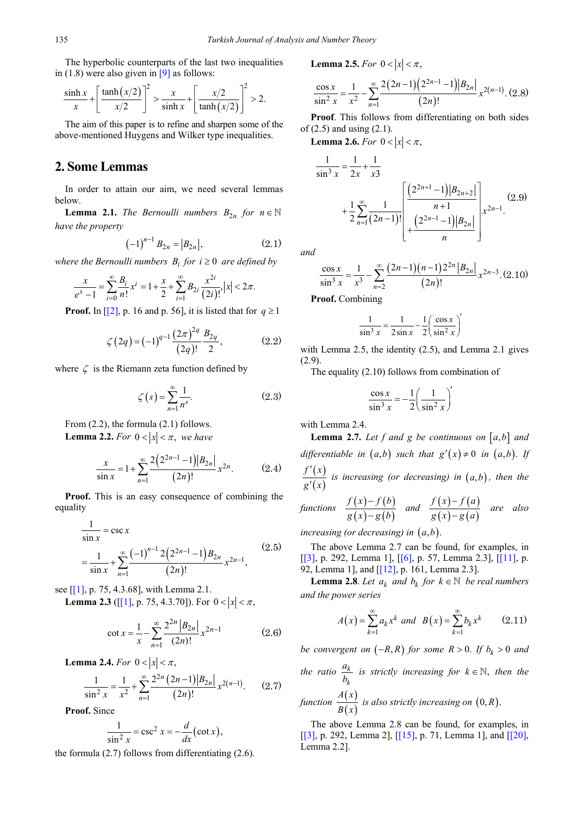The hyperbolic counterparts of the last two inequalities in  $(1.8)$  were also given in  $[9]$  as follows:

$$
\frac{\sinh x}{x} + \left[\frac{\tanh(x/2)}{x/2}\right]^2 > \frac{x}{\sinh x} + \left[\frac{x/2}{\tanh(x/2)}\right]^2 > 2.
$$

The aim of this paper is to refine and sharpen some of the above-mentioned Huygens and Wilker type inequalities.

# **2. Some Lemmas**

In order to attain our aim, we need several lemmas below.

**Lemma 2.1.** *The Bernoulli numbers*  $B_{2n}$  *for*  $n \in \mathbb{N}$ *have the property*

$$
(-1)^{n-1} B_{2n} = |B_{2n}|,\t\t(2.1)
$$

*where the Bernoulli numbers*  $B_i$  *for*  $i \geq 0$  *are defined by* 

$$
\frac{x}{e^x - 1} = \sum_{i=0}^{\infty} \frac{B_i}{n!} x^i = 1 + \frac{x}{2} + \sum_{i=1}^{\infty} B_{2i} \frac{x^{2i}}{(2i)!}, |x| < 2\pi.
$$

**Proof.** In  $\left[\begin{bmatrix}2\end{bmatrix}, p. 16 \text{ and } p. 56\right]$ , it is listed that for  $q \ge 1$ 

$$
\zeta(2q) = (-1)^{q-1} \frac{(2\pi)^{2q}}{(2q)!} \frac{B_{2q}}{2},
$$
 (2.2)

where  $\zeta$  is the Riemann zeta function defined by

$$
\zeta(s) = \sum_{n=1}^{\infty} \frac{1}{n^s}.
$$
 (2.3)

From  $(2.2)$ , the formula  $(2.1)$  follows. **Lemma 2.2.** *For*  $0 < |x| < \pi$ , *we have* 

$$
\frac{x}{\sin x} = 1 + \sum_{n=1}^{\infty} \frac{2(2^{2n-1}-1)|B_{2n}|}{(2n)!} x^{2n}.
$$
 (2.4)

**Proof.** This is an easy consequence of combining the equality

$$
\frac{1}{\sin x} = \csc x
$$
  
= 
$$
\frac{1}{\sin x} + \sum_{n=1}^{\infty} \frac{(-1)^{n-1} 2(2^{2n-1} - 1) B_{2n}}{(2n)!} x^{2n-1},
$$
 (2.5)

see [\[\[1\],](#page-5-9) p. 75, 4.3.68], with Lemma 2.1.

**Lemma 2.3** ([\[\[1\],](#page-5-9) p. 75, 4.3.70]). For  $0 < |x| < \pi$ ,

$$
\cot x = \frac{1}{x} - \sum_{n=1}^{\infty} \frac{2^{2n} |B_{2n}|}{(2n)!} x^{2n-1}
$$
 (2.6)

**Lemma 2.4.** *For*  $0 < |x| < \pi$ ,

$$
\frac{1}{\sin^2 x} = \frac{1}{x^2} + \sum_{n=1}^{\infty} \frac{2^{2n} (2n-1) |B_{2n}|}{(2n)!} x^{2(n-1)}.
$$
 (2.7)

**Proof.** Since

$$
\frac{1}{\sin^2 x} = \csc^2 x = -\frac{d}{dx}(\cot x),
$$

the formula (2.7) follows from differentiating (2.6).

**Lemma 2.5.** *For*  $0 < |x| < \pi$ ,

$$
\frac{\cos x}{\sin^2 x} = \frac{1}{x^2} - \sum_{n=1}^{\infty} \frac{2(2n-1)(2^{2n-1}-1)|B_{2n}|}{(2n)!} x^{2(n-1)}.
$$
 (2.8)

**Proof**. This follows from differentiating on both sides of (2.5) and using (2.1).

**Lemma 2.6.** *For*  $0 < |x| < \pi$ ,

$$
\frac{1}{\sin^3 x} = \frac{1}{2x} + \frac{1}{x3}
$$
  
+ 
$$
\frac{1}{2} \sum_{n=1}^{\infty} \frac{1}{(2n-1)!} \left[ \frac{\left(2^{2n+1} - 1\right) |B_{2n+2}|}{n+1} \right]_{x^{2n-1}} \left[ x^{2n-1} \right] (2.9)
$$

*and*

$$
\frac{\cos x}{\sin^3 x} = \frac{1}{x^3} - \sum_{n=2}^{\infty} \frac{(2n-1)(n-1)2^{2n} |B_{2n}|}{(2n)!} x^{2n-3} . (2.10)
$$

**Proof.** Combining

$$
\frac{1}{\sin^3 x} = \frac{1}{2\sin x} - \frac{1}{2} \left( \frac{\cos x}{\sin^2 x} \right)'
$$

with Lemma 2.5, the identity (2.5), and Lemma 2.1 gives (2.9).

The equality (2.10) follows from combination of

$$
\frac{\cos x}{\sin^3 x} = -\frac{1}{2} \left( \frac{1}{\sin^2 x} \right)^2
$$

with Lemma 2.4.

**Lemma 2.7.** Let f and g be continuous on  $[a,b]$  and *differentiable in*  $(a,b)$  *such that*  $g'(x) \neq 0$  *in*  $(a,b)$ *. If*  $(x)$  $(x)$ *f x g x* ′  $\frac{f(x)}{f(x)}$  is increasing (or decreasing) in  $(a,b)$ , then the

functions 
$$
\frac{f(x)-f(b)}{g(x)-g(b)}
$$
 and  $\frac{f(x)-f(a)}{g(x)-g(a)}$  are also

*increasing (or decreasing) in*  $(a, b)$ .

The above Lemma 2.7 can be found, for examples, in [\[\[3\],](#page-5-10) p. 292, Lemma 1], [\[\[6\],](#page-5-11) p. 57, Lemma 2.3], [\[\[11\],](#page-5-12) p. 92, Lemma 1], and [\[\[12\],](#page-5-13) p. 161, Lemma 2.3].

**Lemma 2.8**. *Let*  $a_k$  *and*  $b_k$  *for*  $k \in \mathbb{N}$  *be real numbers and the power series*

$$
A(x) = \sum_{k=1}^{\infty} a_k x^k \text{ and } B(x) = \sum_{k=1}^{\infty} b_k x^k \qquad (2.11)
$$

*be convergent on*  $(-R, R)$  *for some*  $R > 0$ . If  $b_k > 0$  and

*the ratio*  $\frac{u_k}{l}$ *k a*  $\frac{d}{k}$  *is strictly increasing for*  $k \in \mathbb{N}$ *, then the A x*

function 
$$
\frac{A(x)}{B(x)}
$$
 is also strictly increasing on  $(0, R)$ .

The above Lemma 2.8 can be found, for examples, in [\[\[3\],](#page-5-10) p. 292, Lemma 2], [\[\[15\],](#page-5-14) p. 71, Lemma 1], and [\[\[20\],](#page-5-15) Lemma 2.2].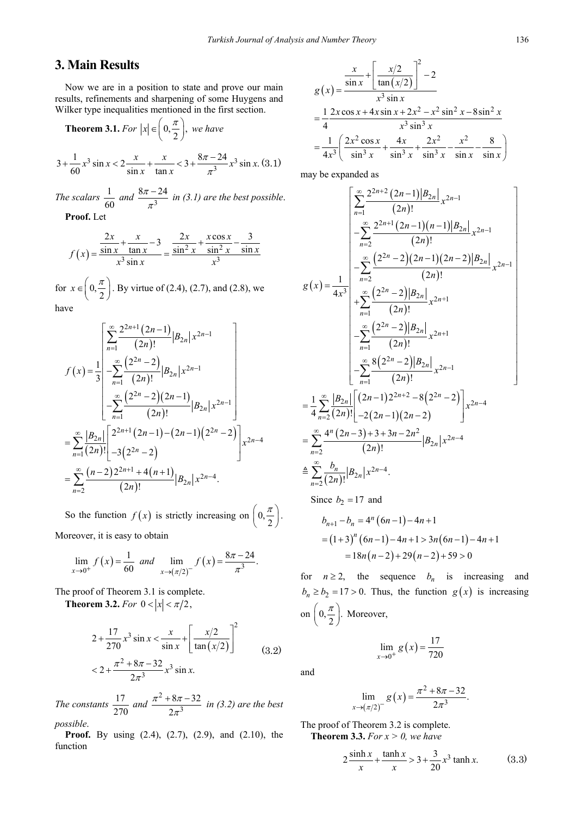# **3. Main Results**

Now we are in a position to state and prove our main results, refinements and sharpening of some Huygens and Wilker type inequalities mentioned in the first section.

**Theorem 3.1.** For 
$$
|x| \in \left(0, \frac{\pi}{2}\right)
$$
, we have  
  $3 + \frac{1}{60}x^3 \sin x < 2\frac{x}{\sin x} + \frac{x}{\tan x} < 3 + \frac{8\pi - 24}{\pi^3}x^3 \sin x$ . (3.1)

60 
$$
\sin x \tan x
$$
  $\pi^3$   
The scalars  $\frac{1}{2}$  and  $8\pi - 24$  in (3, 1) are the best possible

*The scalars*  $\frac{1}{60}$  *and*  $\frac{8\pi-24}{\pi^3}$  $\frac{\pi^{-}-24}{\pi^{3}}$  in (3.1) are the best possible. **Proof.** Let

$$
f(x) = \frac{\frac{2x}{\sin x} + \frac{x}{\tan x} - 3}{x^3 \sin x} = \frac{\frac{2x}{\sin^2 x} + \frac{x \cos x}{\sin^2 x} - \frac{3}{\sin x}}{x^3}
$$

for  $x \in \left(0, \frac{\pi}{2}\right)$ . By virtue of (2.4), (2.7), and (2.8), we have

$$
f(x) = \frac{1}{3} \begin{bmatrix} \sum_{n=1}^{\infty} \frac{2^{2n+1} (2n-1)}{(2n)!} |B_{2n}| x^{2n-1} \\ -\sum_{n=1}^{\infty} \frac{(2^{2n} - 2)}{(2n)!} |B_{2n}| x^{2n-1} \\ -\sum_{n=1}^{\infty} \frac{(2^{2n} - 2)(2n-1)}{(2n)!} |B_{2n}| x^{2n-1} \end{bmatrix}
$$
  
= 
$$
\sum_{n=1}^{\infty} \frac{|B_{2n}|}{(2n)!} \begin{bmatrix} 2^{2n+1} (2n-1) - (2n-1)(2^{2n} - 2) \\ -3(2^{2n} - 2) \end{bmatrix} x^{2n-4}
$$
  
= 
$$
\sum_{n=2}^{\infty} \frac{(n-2)2^{2n+1} + 4(n+1)}{(2n)!} |B_{2n}| x^{2n-4}.
$$

So the function  $f(x)$  is strictly increasing on  $\left(0, \frac{\pi}{2}\right)$ . Moreover, it is easy to obtain

$$
\lim_{x \to 0^+} f(x) = \frac{1}{60} \text{ and } \lim_{x \to (\pi/2)^-} f(x) = \frac{8\pi - 24}{\pi^3}.
$$

The proof of Theorem 3.1 is complete.

**Theorem 3.2.** *For*  $0 < |x| < \pi/2$ ,

$$
2 + \frac{17}{270}x^3 \sin x < \frac{x}{\sin x} + \left[\frac{x/2}{\tan(x/2)}\right]^2
$$
  

$$
< 2 + \frac{\pi^2 + 8\pi - 32}{2\pi^3}x^3 \sin x.
$$
 (3.2)

*The constants*  $\frac{17}{270}$  *and*  $\frac{\pi^2}{2}$ 3  $8\pi - 32$ 2  $\pi$  –  $\gamma$  $\frac{+8\pi-32}{2\pi^3}$  in (3.2) are the best *possible*.

**Proof.** By using (2.4), (2.7), (2.9), and (2.10), the function

$$
g(x) = \frac{\frac{x}{\sin x} + \left[\frac{x/2}{\tan(x/2)}\right]^2 - 2}{x^3 \sin x}
$$
  
=  $\frac{1}{4} \frac{2x \cos x + 4x \sin x + 2x^2 - x^2 \sin^2 x - 8 \sin^2 x}{x^3 \sin^3 x}$   
=  $\frac{1}{4x^3} \left(\frac{2x^2 \cos x}{\sin^3 x} + \frac{4x}{\sin^3 x} + \frac{2x^2}{\sin^3 x} - \frac{x^2}{\sin x} - \frac{8}{\sin x}\right)$ 

may be expanded as

$$
g(x) = \frac{1}{4x^3} \begin{bmatrix} \sum_{n=1}^{\infty} \frac{2^{2n+2} (2n-1) |B_{2n}|}{(2n)!} x^{2n-1} \\ -\sum_{n=2}^{\infty} \frac{2^{2n+1} (2n-1) (n-1) |B_{2n}|}{(2n)!} x^{2n-1} \\ -\sum_{n=2}^{\infty} \frac{(2^{2n} - 2) (2n-1) (2n-2) |B_{2n}|}{(2n)!} x^{2n-1} \\ +\sum_{n=1}^{\infty} \frac{(2^{2n} - 2) |B_{2n}|}{(2n)!} x^{2n+1} \\ -\sum_{n=1}^{\infty} \frac{(2^{2n} - 2) |B_{2n}|}{(2n)!} x^{2n+1} \\ -\sum_{n=1}^{\infty} \frac{8 (2^{2n} - 2) |B_{2n}|}{(2n)!} x^{2n-1} \\ -\sum_{n=2}^{\infty} \frac{8 (2^{2n} - 2) |B_{2n}|}{(2n)!} x^{2n-1} \\ = \frac{1}{4} \sum_{n=2}^{\infty} \frac{|B_{2n}|}{(2n)!} \Big[ (2n-1) 2^{2n+2} - 8 (2^{2n} - 2) \Big] x^{2n-4} \\ = \sum_{n=2}^{\infty} \frac{4^n (2n-3) + 3 + 3n - 2n^2}{(2n)!} |B_{2n}| x^{2n-4} \\ = \sum_{n=2}^{\infty} \frac{b_n}{(2n)!} |B_{2n}| x^{2n-4}.
$$
  
Since  $b_2 = 17$  and  
 $b_{n+1} - b_n = 4^n (6n-1) - 4n + 1$ 

$$
= (1+3)^n (6n-1) - 4n + 1 > 3n(6n-1) - 4n + 1
$$
  
= 18n(n-2) + 29(n-2) + 59 > 0

for  $n \ge 2$ , the sequence  $b_n$  is increasing and  $b_n \ge b_2 = 17 > 0$ . Thus, the function  $g(x)$  is increasing on  $\left(0, \frac{\pi}{2}\right)$ . Moreover,

$$
\lim_{x \to 0^+} g(x) = \frac{17}{720}
$$

$$
\lim_{x \to (\pi/2)^{-}} g(x) = \frac{\pi^2 + 8\pi - 2}{2\pi^3}
$$

The proof of Theorem 3.2 is complete. **Theorem 3.3.** *For*  $x > 0$ *, we have* 

and

$$
2\frac{\sinh x}{x} + \frac{\tanh x}{x} > 3 + \frac{3}{20}x^3 \tanh x.
$$
 (3.3)

 $-32$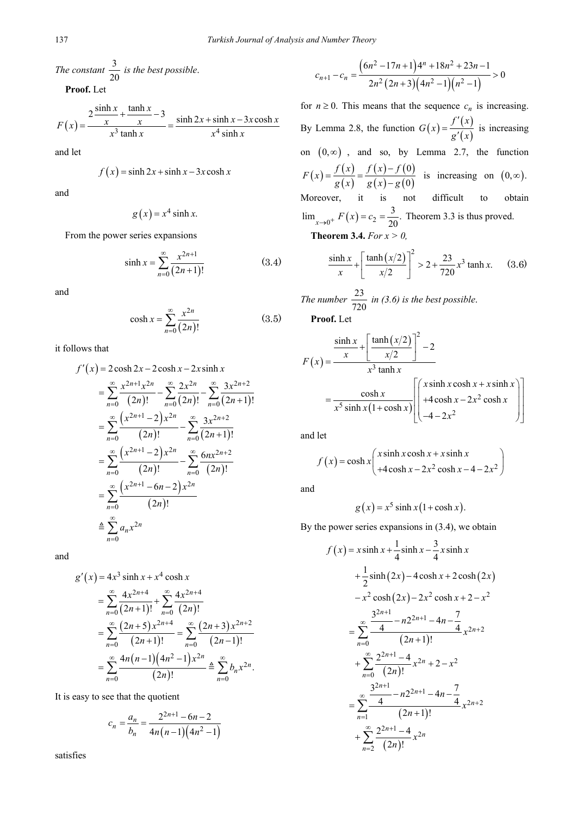*The constant*  $\frac{3}{20}$  *is the best possible.* 

**Proof.** Let

$$
F(x) = \frac{2\frac{\sinh x}{x} + \frac{\tanh x}{x} - 3}{x^3 \tanh x} = \frac{\sinh 2x + \sinh x - 3x \cosh x}{x^4 \sinh x}
$$

and let

$$
f(x) = \sinh 2x + \sinh x - 3x \cosh x
$$

and

$$
g(x) = x^4 \sinh x.
$$

From the power series expansions

$$
\sinh x = \sum_{n=0}^{\infty} \frac{x^{2n+1}}{(2n+1)!}
$$
 (3.4)

and

$$
\cosh x = \sum_{n=0}^{\infty} \frac{x^{2n}}{(2n)!}
$$
 (3.5)

it follows that

$$
f'(x) = 2 \cosh 2x - 2 \cosh x - 2x \sinh x
$$
  
=  $\sum_{n=0}^{\infty} \frac{x^{2n+1}x^{2n}}{(2n)!} - \sum_{n=0}^{\infty} \frac{2x^{2n}}{(2n)!} - \sum_{n=0}^{\infty} \frac{3x^{2n+2}}{(2n+1)!}$   
=  $\sum_{n=0}^{\infty} \frac{(x^{2n+1} - 2)x^{2n}}{(2n)!} - \sum_{n=0}^{\infty} \frac{3x^{2n+2}}{(2n+1)!}$   
=  $\sum_{n=0}^{\infty} \frac{(x^{2n+1} - 2)x^{2n}}{(2n)!} - \sum_{n=0}^{\infty} \frac{6nx^{2n+2}}{(2n)!}$   
=  $\sum_{n=0}^{\infty} \frac{(x^{2n+1} - 6n - 2)x^{2n}}{(2n)!}$   
 $\approx \sum_{n=0}^{\infty} a_n x^{2n}$ 

and

$$
g'(x) = 4x^3 \sinh x + x^4 \cosh x
$$
  
= 
$$
\sum_{n=0}^{\infty} \frac{4x^{2n+4}}{(2n+1)!} + \sum_{n=0}^{\infty} \frac{4x^{2n+4}}{(2n)!}
$$
  
= 
$$
\sum_{n=0}^{\infty} \frac{(2n+5)x^{2n+4}}{(2n+1)!} = \sum_{n=0}^{\infty} \frac{(2n+3)x^{2n+2}}{(2n-1)!}
$$
  
= 
$$
\sum_{n=0}^{\infty} \frac{4n(n-1)(4n^2-1)x^{2n}}{(2n)!} \triangleq \sum_{n=0}^{\infty} b_n x^{2n}.
$$

It is easy to see that the quotient

$$
c_n = \frac{a_n}{b_n} = \frac{2^{2n+1} - 6n - 2}{4n(n-1)(4n^2 - 1)}
$$

2 1

satisfies

$$
c_{n+1} - c_n = \frac{(6n^2 - 17n + 1)4^n + 18n^2 + 23n - 1}{2n^2(2n + 3)(4n^2 - 1)(n^2 - 1)} > 0
$$

for  $n \ge 0$ . This means that the sequence  $c_n$  is increasing. By Lemma 2.8, the function  $G(x) = \frac{f'(x)}{g'(x)}$  $G(x) = \frac{f'(x)}{g'(x)}$  is increasing on  $(0, \infty)$ , and so, by Lemma 2.7, the function  $(x) = \frac{f(x)}{g(x)}$  $(x) - f(0)$  $(x) - g(0)$ 0  $F(x) = \frac{f(x)}{g(x)} = \frac{f(x) - f(0)}{g(x) - g(0)}$  is increasing on  $(0, \infty)$ . Moreover, it is not difficult to obtain  $\lim_{x \to 0^+} F(x) = c_2 = \frac{3}{20}$ . Theorem 3.3 is thus proved. **Theorem 3.4.** *For x > 0,*

$$
\frac{\sinh x}{x} + \left[\frac{\tanh(x/2)}{x/2}\right]^2 > 2 + \frac{23}{720}x^3 \tanh x.
$$
 (3.6)

The number 
$$
\frac{23}{720}
$$
 in (3.6) is the best possible.  
Proof I et

**Proof.** Let

$$
F(x) = \frac{\frac{\sinh x}{x} + \left[\frac{\tanh(x/2)}{x/2}\right]^2 - 2}{x^3 \tanh x}
$$

$$
= \frac{\cosh x}{x^5 \sinh x (1 + \cosh x)} \left[\begin{pmatrix} x \sinh x \cosh x + x \sinh x \\ +4 \cosh x - 2x^2 \cosh x \\ -4 - 2x^2 \end{pmatrix}\right]
$$

and let

$$
f(x) = \cosh x \begin{pmatrix} x \sinh x \cosh x + x \sinh x \\ +4 \cosh x - 2x^2 \cosh x - 4 - 2x^2 \end{pmatrix}
$$

and

$$
g(x) = x^5 \sinh x (1 + \cosh x).
$$

By the power series expansions in (3.4), we obtain

$$
f(x) = x \sinh x + \frac{1}{4} \sinh x - \frac{3}{4} x \sinh x
$$
  
+  $\frac{1}{2} \sinh (2x) - 4 \cosh x + 2 \cosh (2x)$   
-  $x^2 \cosh (2x) - 2x^2 \cosh x + 2 - x^2$   
=  $\sum_{n=0}^{\infty} \frac{\frac{3^{2n+1}}{4} - n2^{2n+1} - 4n - \frac{7}{4}}{(2n+1)!}$   
+  $\sum_{n=0}^{\infty} \frac{2^{2n+1} - 4}{(2n)!} x^{2n} + 2 - x^2$   
=  $\sum_{n=1}^{\infty} \frac{\frac{3^{2n+1}}{4} - n2^{2n+1} - 4n - \frac{7}{4}}{(2n+1)!}$   
+  $\sum_{n=2}^{\infty} \frac{2^{2n+1} - 4}{(2n)!} x^{2n}$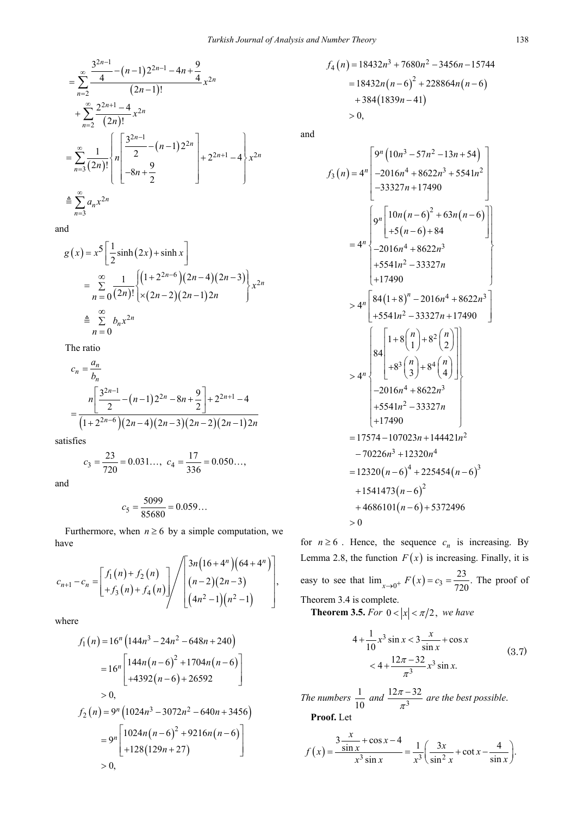$$
= \sum_{n=2}^{\infty} \frac{\frac{3^{2n-1}}{4} - (n-1)2^{2n-1} - 4n + \frac{9}{4}}{(2n-1)!} x^{2n}
$$
  
+ 
$$
\sum_{n=2}^{\infty} \frac{2^{2n+1} - 4}{(2n)!} x^{2n}
$$
  
= 
$$
\sum_{n=3}^{\infty} \frac{1}{(2n)!} \left\{ n \left[ \frac{3^{2n-1}}{2} - (n-1)2^{2n} \right] + 2^{2n+1} - 4 \right\} x^{2n}
$$
  
= 
$$
\sum_{n=3}^{\infty} a_n x^{2n}
$$

and

$$
g(x) = x^5 \left[ \frac{1}{2} \sinh(2x) + \sinh x \right]
$$
  
=  $\sum_{n=0}^{\infty} \frac{1}{(2n)!} \left[ (1+2^{2n-6})(2n-4)(2n-3) \right]_{1} x^{2n}$   

$$
\approx \sum_{n=0}^{\infty} b_n x^{2n}
$$

The ratio

$$
c_n = \frac{a_n}{b_n}
$$
  
= 
$$
\frac{n \left[ \frac{3^{2n-1}}{2} - (n-1)2^{2n} - 8n + \frac{9}{2} \right] + 2^{2n+1} - 4}{(1 + 2^{2n-6})(2n-4)(2n-3)(2n-2)(2n-1)2n}
$$

satisfies

$$
c_3 = \frac{23}{720} = 0.031..., \quad c_4 = \frac{17}{336} = 0.050...,
$$

and

$$
c_5 = \frac{5099}{85680} = 0.059...
$$

Furthermore, when  $n \ge 6$  by a simple computation, we have

$$
c_{n+1} - c_n = \begin{bmatrix} f_1(n) + f_2(n) \\ +f_3(n) + f_4(n) \end{bmatrix} / \begin{bmatrix} 3n(16+4^n)(64+4^n) \\ (n-2)(2n-3) \\ (4n^2-1)(n^2-1) \end{bmatrix},
$$

where

$$
f_1(n) = 16^n \left( 144n^3 - 24n^2 - 648n + 240 \right)
$$
  
=  $16^n \left[ 144n(n-6)^2 + 1704n(n-6) \right]$   
 $+ 4392(n-6) + 26592$   
> 0,  

$$
f_2(n) = 9^n \left( 1024n^3 - 3072n^2 - 640n + 3456 \right)
$$
  
=  $9^n \left[ 1024n(n-6)^2 + 9216n(n-6) \right]$   
+  $128(129n + 27)$   
> 0,

$$
f_4(n) = 18432n^3 + 7680n^2 - 3456n - 15744
$$
  
= 18432n(n-6)<sup>2</sup> + 228864n(n-6)  
+ 384(1839n-41)  
> 0,

and

$$
f_3(n) = 4^n \begin{bmatrix} 9^n (10n^3 - 57n^2 - 13n + 54) \\ -2016n^4 + 8622n^3 + 5541n^2 \\ -33327n + 17490 \end{bmatrix}
$$
  
=  $4^n \begin{bmatrix} 9^n \begin{bmatrix} 10n(n-6)^2 + 63n(n-6) \\ +5(n-6) + 84 \\ -2016n^4 + 8622n^3 \\ +5541n^2 - 33327n \\ +17490 \end{bmatrix} \\ > 4^n \begin{bmatrix} 84(1+8)^n - 2016n^4 + 8622n^3 \\ +5541n^2 - 33327n + 17490 \\ +5541n^2 - 33327n + 17490 \end{bmatrix} \\ > 4^n \begin{bmatrix} 1+8 \begin{bmatrix} 1+8 \begin{bmatrix} n \\ 1 \end{bmatrix}+8^2 \begin{bmatrix} n \\ 2 \end{bmatrix} \\ -2016n^4 + 8622n^3 \\ +5541n^2 - 33327n \\ +17490 \\ -70226n^3 + 12320n^4 \\ = 12320(n-6)^4 + 225454(n-6)^3 \\ +1541473(n-6)^2 \\ +4686101(n-6) + 5372496 \\ > 0 \end{bmatrix} \end{bmatrix}$ 

for  $n \ge 6$ . Hence, the sequence  $c_n$  is increasing. By Lemma 2.8, the function  $F(x)$  is increasing. Finally, it is easy to see that  $\lim_{x \to 0^+} F(x) = c_3 = \frac{23}{720}$ . The proof of Theorem 3.4 is complete.

**Theorem 3.5.** *For*  $0 < |x| < \pi/2$ , *we have* 

$$
4 + \frac{1}{10}x^3 \sin x < 3 \frac{x}{\sin x} + \cos x \n< 4 + \frac{12\pi - 32}{\pi^3}x^3 \sin x.
$$
\n(3.7)

*The numbers*  $\frac{1}{10}$  and  $\frac{12\pi - 32}{\pi^3}$  $\frac{\pi-32}{\pi^3}$  are the best possible. **Proof.** Let

*x*

$$
f(x) = \frac{3\frac{x}{\sin x} + \cos x - 4}{x^3 \sin x} = \frac{1}{x^3} \left( \frac{3x}{\sin^2 x} + \cot x - \frac{4}{\sin x} \right).
$$